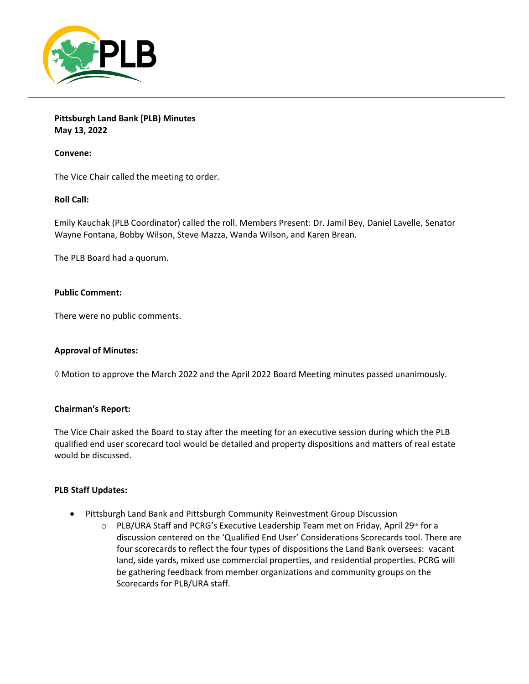

**Pittsburgh Land Bank [PLB) Minutes May 13, 2022**

**Convene:**

The Vice Chair called the meeting to order.

# **Roll Call:**

Emily Kauchak (PLB Coordinator) called the roll. Members Present: Dr. Jamil Bey, Daniel Lavelle, Senator Wayne Fontana, Bobby Wilson, Steve Mazza, Wanda Wilson, and Karen Brean.

The PLB Board had a quorum.

## **Public Comment:**

There were no public comments.

## **Approval of Minutes:**

 $\Diamond$  Motion to approve the March 2022 and the April 2022 Board Meeting minutes passed unanimously.

# **Chairman's Report:**

The Vice Chair asked the Board to stay after the meeting for an executive session during which the PLB qualified end user scorecard tool would be detailed and property dispositions and matters of real estate would be discussed.

## **PLB Staff Updates:**

- Pittsburgh Land Bank and Pittsburgh Community Reinvestment Group Discussion
	- $\circ$  PLB/URA Staff and PCRG's Executive Leadership Team met on Friday, April 29<sup>th</sup> for a discussion centered on the 'Qualified End User' Considerations Scorecards tool. There are four scorecards to reflect the four types of dispositions the Land Bank oversees: vacant land, side yards, mixed use commercial properties, and residential properties. PCRG will be gathering feedback from member organizations and community groups on the Scorecards for PLB/URA staff.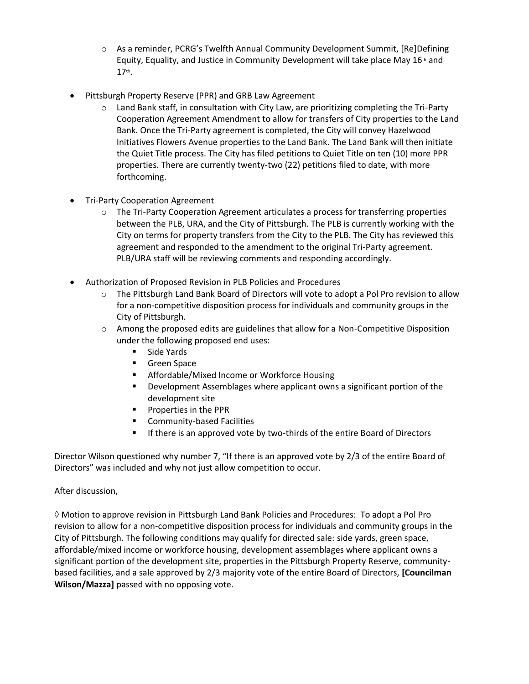- o As a reminder, PCRG's Twelfth Annual Community Development Summit, [Re]Defining Equity, Equality, and Justice in Community Development will take place May  $16<sup>th</sup>$  and 17th .
- Pittsburgh Property Reserve (PPR) and GRB Law Agreement
	- $\circ$  Land Bank staff, in consultation with City Law, are prioritizing completing the Tri-Party Cooperation Agreement Amendment to allow for transfers of City properties to the Land Bank. Once the Tri-Party agreement is completed, the City will convey Hazelwood Initiatives Flowers Avenue properties to the Land Bank. The Land Bank will then initiate the Quiet Title process. The City has filed petitions to Quiet Title on ten (10) more PPR properties. There are currently twenty-two (22) petitions filed to date, with more forthcoming.
- Tri-Party Cooperation Agreement
	- $\circ$  The Tri-Party Cooperation Agreement articulates a process for transferring properties between the PLB, URA, and the City of Pittsburgh. The PLB is currently working with the City on terms for property transfers from the City to the PLB. The City has reviewed this agreement and responded to the amendment to the original Tri-Party agreement. PLB/URA staff will be reviewing comments and responding accordingly.
- Authorization of Proposed Revision in PLB Policies and Procedures
	- o The Pittsburgh Land Bank Board of Directors will vote to adopt a Pol Pro revision to allow for a non-competitive disposition process for individuals and community groups in the City of Pittsburgh.
	- $\circ$  Among the proposed edits are guidelines that allow for a Non-Competitive Disposition under the following proposed end uses:
		- Side Yards
		- Green Space
		- Affordable/Mixed Income or Workforce Housing
		- Development Assemblages where applicant owns a significant portion of the development site
		- Properties in the PPR
		- Community-based Facilities
		- **■** If there is an approved vote by two-thirds of the entire Board of Directors

Director Wilson questioned why number 7, "If there is an approved vote by 2/3 of the entire Board of Directors" was included and why not just allow competition to occur.

# After discussion,

 $\Diamond$  Motion to approve revision in Pittsburgh Land Bank Policies and Procedures: To adopt a Pol Pro revision to allow for a non-competitive disposition process for individuals and community groups in the City of Pittsburgh. The following conditions may qualify for directed sale: side yards, green space, affordable/mixed income or workforce housing, development assemblages where applicant owns a significant portion of the development site, properties in the Pittsburgh Property Reserve, communitybased facilities, and a sale approved by 2/3 majority vote of the entire Board of Directors, **[Councilman Wilson/Mazza]** passed with no opposing vote.